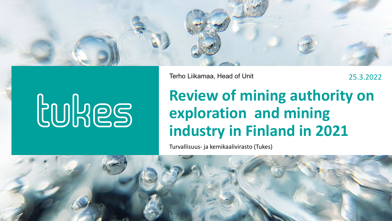

Terho Liikamaa, Head of Unit 25.3.2022

# **LUHES**

## **Review of mining authority on exploration and mining industry in Finland in 2021**

Turvallisuus- ja kemikaalivirasto (Tukes)

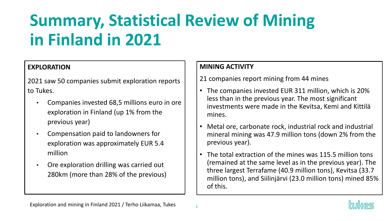# **Summary, Statistical Review of Mining in Finland in 2021**

#### **EXPLORATION**

2021 saw 50 companies submit exploration reports to Tukes.

- Companies invested 68,5 millions euro in ore exploration in Finland (up 1% from the previous year)
- Compensation paid to landowners for exploration was approximately EUR 5.4 million
- Ore exploration drilling was carried out 280km (more than 28% of the previous)

#### **MINING ACTIVITY**

21 companies report mining from 44 mines

- The companies invested EUR 311 million, which is 20% less than in the previous year. The most significant investments were made in the Kevitsa, Kemi and Kittilä mines.
- Metal ore, carbonate rock, industrial rock and industrial mineral mining was 47.9 million tons (down 2% from the previous year).
- The total extraction of the mines was 115.5 million tons (remained at the same level as in the previous year). The three largest Terrafame (40.9 million tons), Kevitsa (33.7 million tons), and Siilinjärvi (23.0 million tons) mined 85% of this.

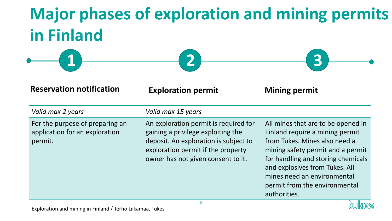# **Major phases of exploration and mining permits in Finland**

| $\sim$ $\sim$ $\sim$ | <b>Alla</b><br><u>and the state of the state of the state of the state of the state of the state of the state of the state of the state of the state of the state of the state of the state of the state of the state of the state of the state</u> | <b>Report Follows</b><br>$\sim$ $\sim$ $\sim$ $\sim$ |  |
|----------------------|-----------------------------------------------------------------------------------------------------------------------------------------------------------------------------------------------------------------------------------------------------|------------------------------------------------------|--|
|                      |                                                                                                                                                                                                                                                     |                                                      |  |

**Reservation notification Exploration permit Mining permit**

| Valid max 2 years                                                            | Valid max 15 years                                                                                                                                                                               |                                                                                                                                                                                                                                                                                                     |
|------------------------------------------------------------------------------|--------------------------------------------------------------------------------------------------------------------------------------------------------------------------------------------------|-----------------------------------------------------------------------------------------------------------------------------------------------------------------------------------------------------------------------------------------------------------------------------------------------------|
| For the purpose of preparing an<br>application for an exploration<br>permit. | An exploration permit is required for<br>gaining a privilege exploiting the<br>deposit. An exploration is subject to<br>exploration permit if the property<br>owner has not given consent to it. | All mines that are to be opened in<br>Finland require a mining permit<br>from Tukes. Mines also need a<br>mining safety permit and a permit<br>for handling and storing chemicals<br>and explosives from Tukes. All<br>mines need an environmental<br>permit from the environmental<br>authorities. |

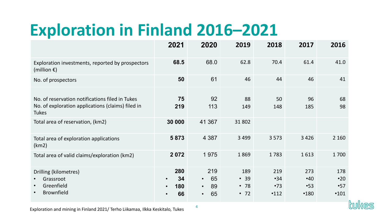# **Exploration in Finland 2016–2021**

|                                                                                                                      | 2021                                             | 2020                                                         | 2019                                    | 2018                      | 2017                      | 2016                             |
|----------------------------------------------------------------------------------------------------------------------|--------------------------------------------------|--------------------------------------------------------------|-----------------------------------------|---------------------------|---------------------------|----------------------------------|
| Exploration investments, reported by prospectors<br>(million $\epsilon$ )                                            | 68.5                                             | 68.0                                                         | 62.8                                    | 70.4                      | 61.4                      | 41.0                             |
| No. of prospectors                                                                                                   | 50                                               | 61                                                           | 46                                      | 44                        | 46                        | 41                               |
| No. of reservation notifications filed in Tukes<br>No. of exploration applications (claims) filed in<br><b>Tukes</b> | 75<br>219                                        | 92<br>113                                                    | 88<br>149                               | 50<br>148                 | 96<br>185                 | 68<br>98                         |
| Total area of reservation, (km2)                                                                                     | 30 000                                           | 41 367                                                       | 31802                                   |                           |                           |                                  |
| Total area of exploration applications<br>(km2)                                                                      | 5873                                             | 4 3 8 7                                                      | 3 4 9 9                                 | 3 5 7 3                   | 3 4 2 6                   | 2 1 6 0                          |
| Total area of valid claims/exploration (km2)                                                                         | 2072                                             | 1975                                                         | 1869                                    | 1783                      | 1613                      | 1700                             |
| Drilling (kilometres)<br>Grassroot<br>Greenfield<br><b>Brownfield</b>                                                | 280<br>34<br>$\bullet$<br>180<br>$\bullet$<br>66 | 219<br>65<br>$\bullet$<br>89<br>$\bullet$<br>65<br>$\bullet$ | 189<br>• 39<br>$\cdot$ 78<br>$\cdot$ 72 | 219<br>•34<br>•73<br>•112 | 273<br>•40<br>•53<br>•180 | 178<br>$\cdot$ 20<br>•57<br>•101 |

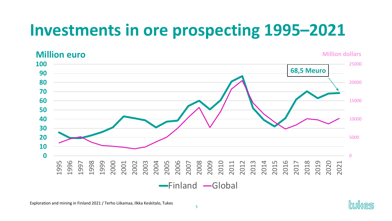# **Investments in ore prospecting 1995–2021**

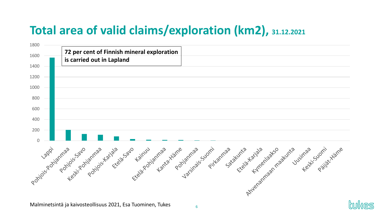#### **Total area of valid claims/exploration (km2), 31.12.2021**

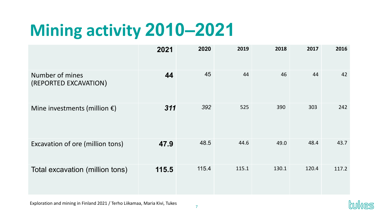# **Mining activity 2010–2021**

|                                          | 2021  | 2020  | 2019  | 2018  | 2017  | 2016  |
|------------------------------------------|-------|-------|-------|-------|-------|-------|
| Number of mines<br>(REPORTED EXCAVATION) | 44    | 45    | 44    | 46    | 44    | 42    |
| Mine investments (million $\epsilon$ )   | 311   | 392   | 525   | 390   | 303   | 242   |
| Excavation of ore (million tons)         | 47.9  | 48.5  | 44.6  | 49.0  | 48.4  | 43.7  |
| Total excavation (million tons)          | 115.5 | 115.4 | 115.1 | 130.1 | 120.4 | 117.2 |

Exploration and mining in Finland 2021 / Terho Liikamaa, Maria Kivi, Tukes

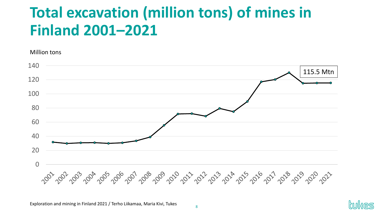#### **Total excavation (million tons) of mines in Finland 2001–2021**

Million tons 140 115.5 Mtn120 100 80 60 40 20 0 2001-2002-2003-2004-2005-2001-2008-2009-2012-2012-2012-2014-2015-2016-2017-2018-2019-2012-2012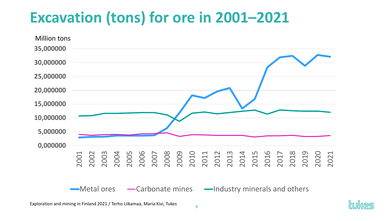## **Excavation (tons) for ore in 2001–2021**



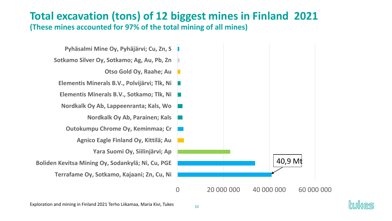#### **Total excavation (tons) of 12 biggest mines in Finland 2021**

**(These mines accounted for 97% of the total mining of all mines)**